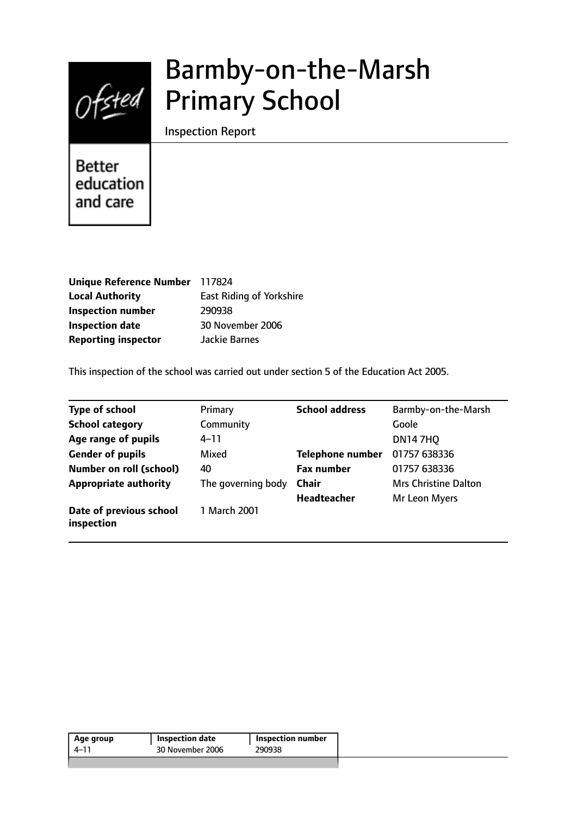

# Barmby-on-the-Marsh Primary School

Inspection Report

**Better** education and care

| Unique Reference Number 117824 |                                 |
|--------------------------------|---------------------------------|
| <b>Local Authority</b>         | <b>East Riding of Yorkshire</b> |
| <b>Inspection number</b>       | 290938                          |
| <b>Inspection date</b>         | 30 November 2006                |
| <b>Reporting inspector</b>     | Jackie Barnes                   |

This inspection of the school was carried out under section 5 of the Education Act 2005.

| <b>Type of school</b>                 | Primary            | <b>School address</b>   | Barmby-on-the-Marsh         |
|---------------------------------------|--------------------|-------------------------|-----------------------------|
| <b>School category</b>                | Community          |                         | Goole                       |
| Age range of pupils                   | $4 - 11$           |                         | <b>DN147HQ</b>              |
| <b>Gender of pupils</b>               | Mixed              | <b>Telephone number</b> | 01757 638336                |
| <b>Number on roll (school)</b>        | 40                 | <b>Fax number</b>       | 01757 638336                |
| <b>Appropriate authority</b>          | The governing body | Chair                   | <b>Mrs Christine Dalton</b> |
|                                       |                    | <b>Headteacher</b>      | Mr Leon Myers               |
| Date of previous school<br>inspection | 1 March 2001       |                         |                             |

| 290938<br>4–11 | <b>Inspection number</b> | <b>Inspection date</b> | Age group |
|----------------|--------------------------|------------------------|-----------|
|                |                          | 30 November 2006       |           |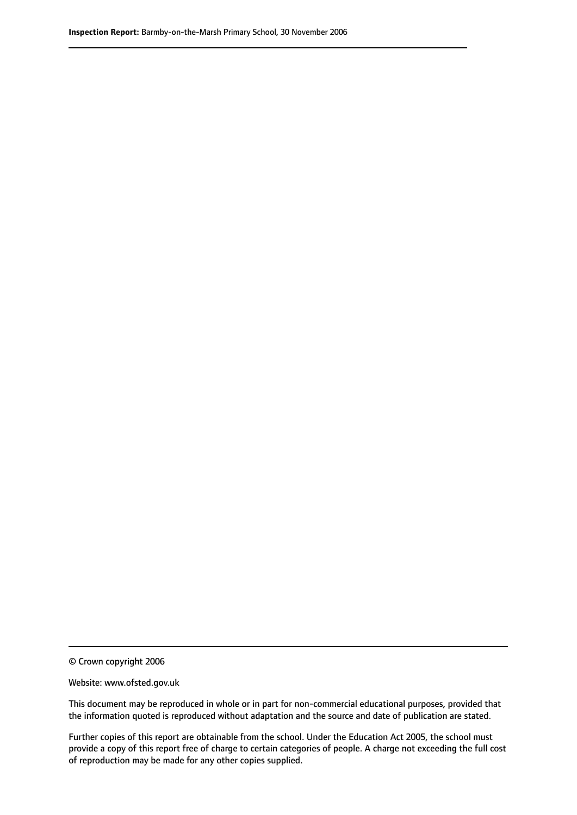© Crown copyright 2006

Website: www.ofsted.gov.uk

This document may be reproduced in whole or in part for non-commercial educational purposes, provided that the information quoted is reproduced without adaptation and the source and date of publication are stated.

Further copies of this report are obtainable from the school. Under the Education Act 2005, the school must provide a copy of this report free of charge to certain categories of people. A charge not exceeding the full cost of reproduction may be made for any other copies supplied.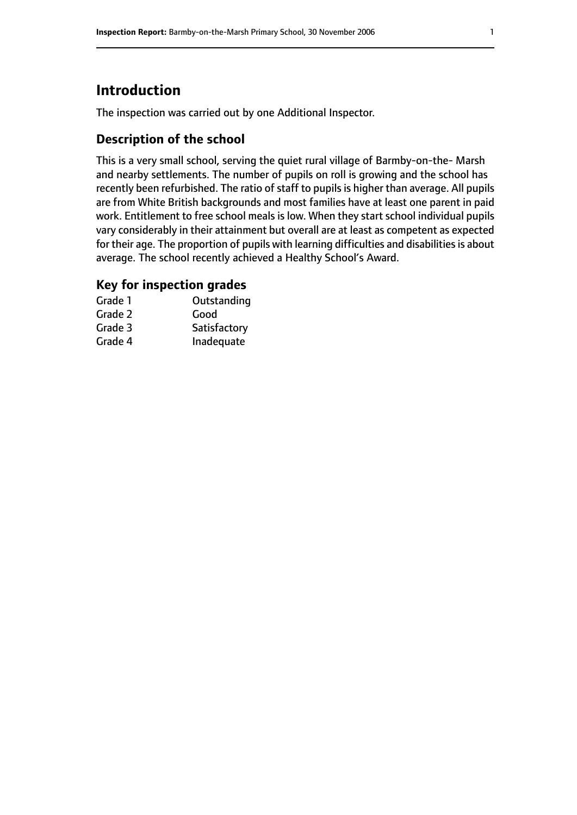# **Introduction**

The inspection was carried out by one Additional Inspector.

#### **Description of the school**

This is a very small school, serving the quiet rural village of Barmby-on-the- Marsh and nearby settlements. The number of pupils on roll is growing and the school has recently been refurbished. The ratio of staff to pupils is higher than average. All pupils are from White British backgrounds and most families have at least one parent in paid work. Entitlement to free school meals is low. When they start school individual pupils vary considerably in their attainment but overall are at least as competent as expected for their age. The proportion of pupils with learning difficulties and disabilities is about average. The school recently achieved a Healthy School's Award.

#### **Key for inspection grades**

| Grade 1 | Outstanding  |
|---------|--------------|
| Grade 2 | Good         |
| Grade 3 | Satisfactory |
| Grade 4 | Inadequate   |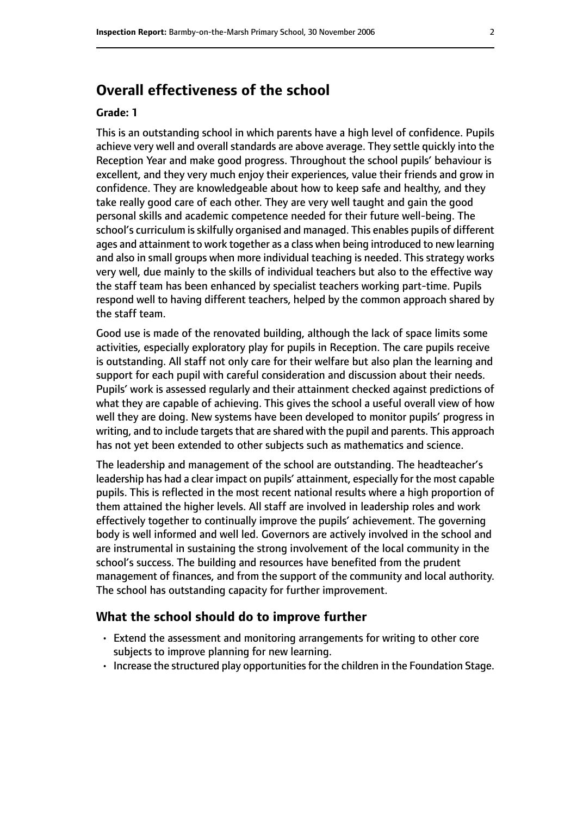# **Overall effectiveness of the school**

#### **Grade: 1**

This is an outstanding school in which parents have a high level of confidence. Pupils achieve very well and overall standards are above average. They settle quickly into the Reception Year and make good progress. Throughout the school pupils' behaviour is excellent, and they very much enjoy their experiences, value their friends and grow in confidence. They are knowledgeable about how to keep safe and healthy, and they take really good care of each other. They are very well taught and gain the good personal skills and academic competence needed for their future well-being. The school's curriculum is skilfully organised and managed. This enables pupils of different ages and attainment to work together as a class when being introduced to new learning and also in small groups when more individual teaching is needed. This strategy works very well, due mainly to the skills of individual teachers but also to the effective way the staff team has been enhanced by specialist teachers working part-time. Pupils respond well to having different teachers, helped by the common approach shared by the staff team.

Good use is made of the renovated building, although the lack of space limits some activities, especially exploratory play for pupils in Reception. The care pupils receive is outstanding. All staff not only care for their welfare but also plan the learning and support for each pupil with careful consideration and discussion about their needs. Pupils' work is assessed regularly and their attainment checked against predictions of what they are capable of achieving. This gives the school a useful overall view of how well they are doing. New systems have been developed to monitor pupils' progress in writing, and to include targets that are shared with the pupil and parents. This approach has not yet been extended to other subjects such as mathematics and science.

The leadership and management of the school are outstanding. The headteacher's leadership has had a clear impact on pupils' attainment, especially for the most capable pupils. This is reflected in the most recent national results where a high proportion of them attained the higher levels. All staff are involved in leadership roles and work effectively together to continually improve the pupils' achievement. The governing body is well informed and well led. Governors are actively involved in the school and are instrumental in sustaining the strong involvement of the local community in the school's success. The building and resources have benefited from the prudent management of finances, and from the support of the community and local authority. The school has outstanding capacity for further improvement.

#### **What the school should do to improve further**

- Extend the assessment and monitoring arrangements for writing to other core subjects to improve planning for new learning.
- $\cdot$  Increase the structured play opportunities for the children in the Foundation Stage.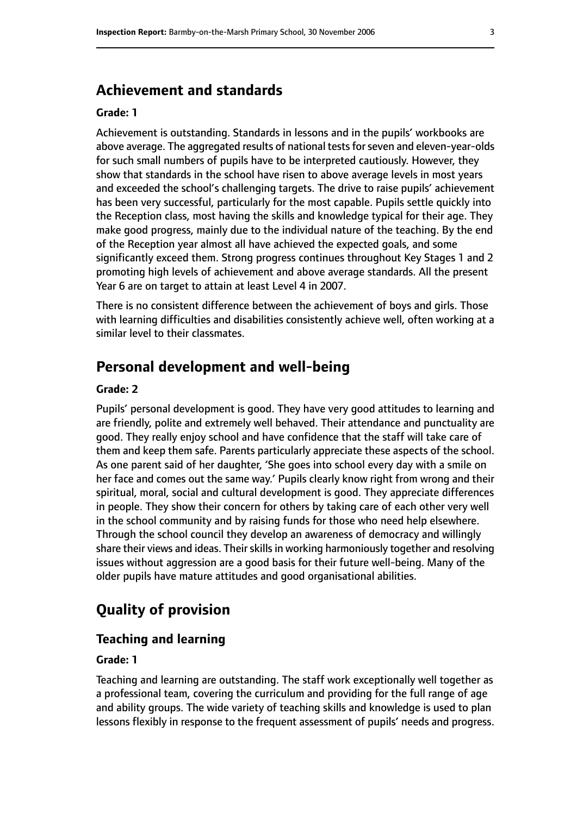# **Achievement and standards**

#### **Grade: 1**

Achievement is outstanding. Standards in lessons and in the pupils' workbooks are above average. The aggregated results of national tests for seven and eleven-year-olds for such small numbers of pupils have to be interpreted cautiously. However, they show that standards in the school have risen to above average levels in most years and exceeded the school's challenging targets. The drive to raise pupils' achievement has been very successful, particularly for the most capable. Pupils settle quickly into the Reception class, most having the skills and knowledge typical for their age. They make good progress, mainly due to the individual nature of the teaching. By the end of the Reception year almost all have achieved the expected goals, and some significantly exceed them. Strong progress continues throughout Key Stages 1 and 2 promoting high levels of achievement and above average standards. All the present Year 6 are on target to attain at least Level 4 in 2007.

There is no consistent difference between the achievement of boys and girls. Those with learning difficulties and disabilities consistently achieve well, often working at a similar level to their classmates.

# **Personal development and well-being**

#### **Grade: 2**

Pupils' personal development is good. They have very good attitudes to learning and are friendly, polite and extremely well behaved. Their attendance and punctuality are good. They really enjoy school and have confidence that the staff will take care of them and keep them safe. Parents particularly appreciate these aspects of the school. As one parent said of her daughter, 'She goes into school every day with a smile on her face and comes out the same way.' Pupils clearly know right from wrong and their spiritual, moral, social and cultural development is good. They appreciate differences in people. They show their concern for others by taking care of each other very well in the school community and by raising funds for those who need help elsewhere. Through the school council they develop an awareness of democracy and willingly share their views and ideas. Their skills in working harmoniously together and resolving issues without aggression are a good basis for their future well-being. Many of the older pupils have mature attitudes and good organisational abilities.

# **Quality of provision**

#### **Teaching and learning**

#### **Grade: 1**

Teaching and learning are outstanding. The staff work exceptionally well together as a professional team, covering the curriculum and providing for the full range of age and ability groups. The wide variety of teaching skills and knowledge is used to plan lessons flexibly in response to the frequent assessment of pupils' needs and progress.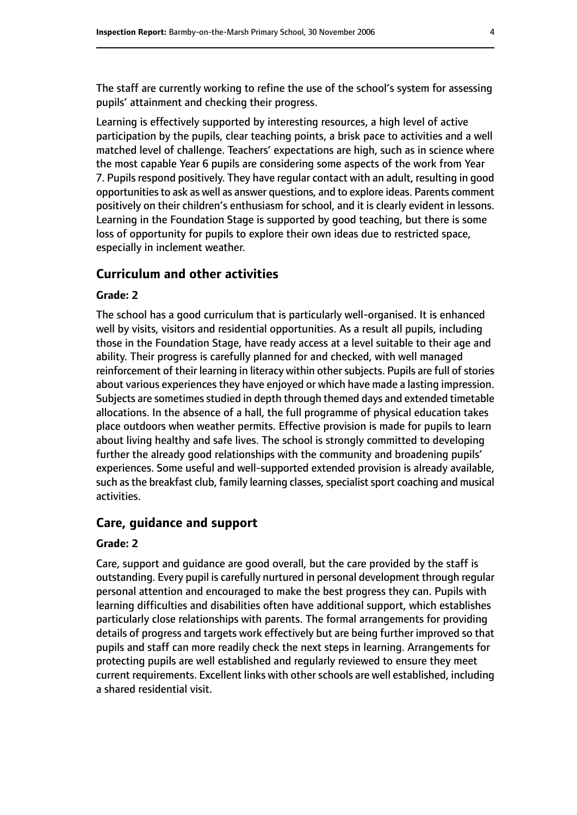The staff are currently working to refine the use of the school's system for assessing pupils' attainment and checking their progress.

Learning is effectively supported by interesting resources, a high level of active participation by the pupils, clear teaching points, a brisk pace to activities and a well matched level of challenge. Teachers' expectations are high, such as in science where the most capable Year 6 pupils are considering some aspects of the work from Year 7. Pupils respond positively. They have regular contact with an adult, resulting in good opportunities to ask as well as answer questions, and to explore ideas. Parents comment positively on their children's enthusiasm for school, and it is clearly evident in lessons. Learning in the Foundation Stage is supported by good teaching, but there is some loss of opportunity for pupils to explore their own ideas due to restricted space, especially in inclement weather.

#### **Curriculum and other activities**

#### **Grade: 2**

The school has a good curriculum that is particularly well-organised. It is enhanced well by visits, visitors and residential opportunities. As a result all pupils, including those in the Foundation Stage, have ready access at a level suitable to their age and ability. Their progress is carefully planned for and checked, with well managed reinforcement of their learning in literacy within other subjects. Pupils are full of stories about various experiences they have enjoyed or which have made a lasting impression. Subjects are sometimes studied in depth through themed days and extended timetable allocations. In the absence of a hall, the full programme of physical education takes place outdoors when weather permits. Effective provision is made for pupils to learn about living healthy and safe lives. The school is strongly committed to developing further the already good relationships with the community and broadening pupils' experiences. Some useful and well-supported extended provision is already available, such as the breakfast club, family learning classes, specialist sport coaching and musical activities.

#### **Care, guidance and support**

#### **Grade: 2**

Care, support and guidance are good overall, but the care provided by the staff is outstanding. Every pupil is carefully nurtured in personal development through regular personal attention and encouraged to make the best progress they can. Pupils with learning difficulties and disabilities often have additional support, which establishes particularly close relationships with parents. The formal arrangements for providing details of progress and targets work effectively but are being further improved so that pupils and staff can more readily check the next steps in learning. Arrangements for protecting pupils are well established and regularly reviewed to ensure they meet current requirements. Excellent links with other schools are well established, including a shared residential visit.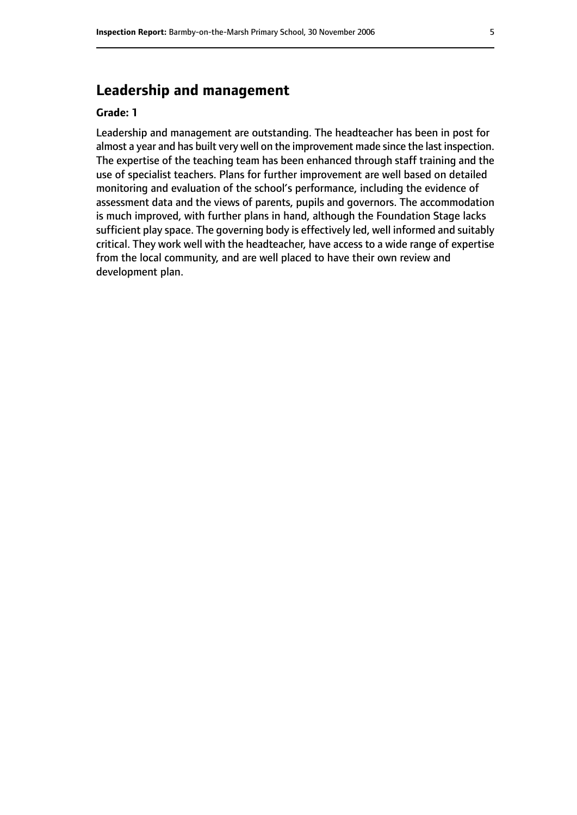# **Leadership and management**

#### **Grade: 1**

Leadership and management are outstanding. The headteacher has been in post for almost a year and has built very well on the improvement made since the last inspection. The expertise of the teaching team has been enhanced through staff training and the use of specialist teachers. Plans for further improvement are well based on detailed monitoring and evaluation of the school's performance, including the evidence of assessment data and the views of parents, pupils and governors. The accommodation is much improved, with further plans in hand, although the Foundation Stage lacks sufficient play space. The governing body is effectively led, well informed and suitably critical. They work well with the headteacher, have access to a wide range of expertise from the local community, and are well placed to have their own review and development plan.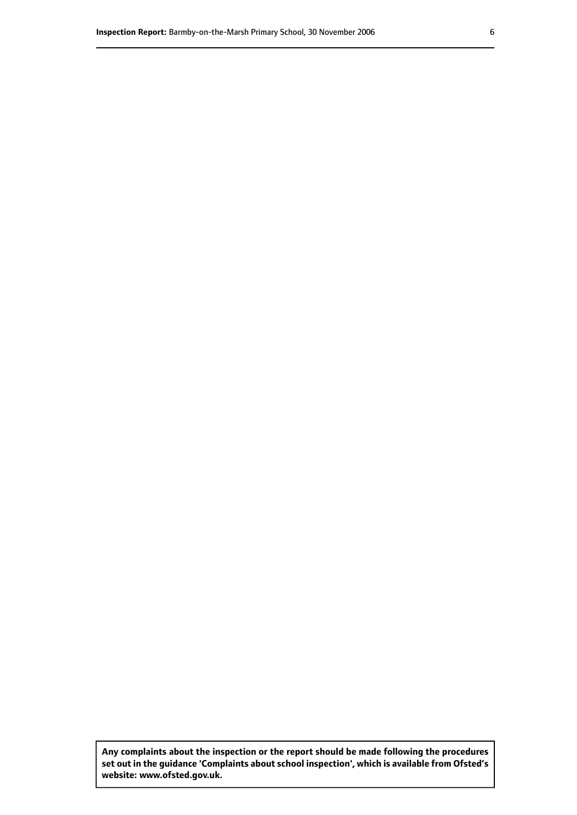**Any complaints about the inspection or the report should be made following the procedures set out inthe guidance 'Complaints about school inspection', whichis available from Ofsted's website: www.ofsted.gov.uk.**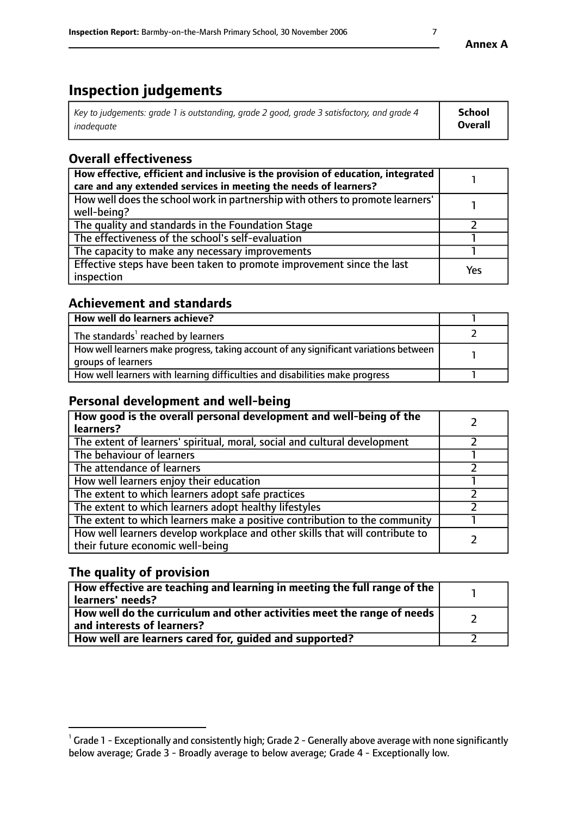# **Inspection judgements**

| Key to judgements: grade 1 is outstanding, grade 2 good, grade 3 satisfactory, and grade 4 | <b>School</b>  |
|--------------------------------------------------------------------------------------------|----------------|
| inadeauate                                                                                 | <b>Overall</b> |

# **Overall effectiveness**

| How effective, efficient and inclusive is the provision of education, integrated<br>care and any extended services in meeting the needs of learners? |     |
|------------------------------------------------------------------------------------------------------------------------------------------------------|-----|
| How well does the school work in partnership with others to promote learners'<br>well-being?                                                         |     |
| The quality and standards in the Foundation Stage                                                                                                    |     |
| The effectiveness of the school's self-evaluation                                                                                                    |     |
| The capacity to make any necessary improvements                                                                                                      |     |
| Effective steps have been taken to promote improvement since the last<br>inspection                                                                  | Yes |

### **Achievement and standards**

| How well do learners achieve?                                                                               |  |
|-------------------------------------------------------------------------------------------------------------|--|
| The standards <sup>1</sup> reached by learners                                                              |  |
| How well learners make progress, taking account of any significant variations between<br>groups of learners |  |
| How well learners with learning difficulties and disabilities make progress                                 |  |

# **Personal development and well-being**

| How good is the overall personal development and well-being of the<br>learners?                                  |  |
|------------------------------------------------------------------------------------------------------------------|--|
| The extent of learners' spiritual, moral, social and cultural development                                        |  |
| The behaviour of learners                                                                                        |  |
| The attendance of learners                                                                                       |  |
| How well learners enjoy their education                                                                          |  |
| The extent to which learners adopt safe practices                                                                |  |
| The extent to which learners adopt healthy lifestyles                                                            |  |
| The extent to which learners make a positive contribution to the community                                       |  |
| How well learners develop workplace and other skills that will contribute to<br>their future economic well-being |  |

# **The quality of provision**

| $\Box$ How effective are teaching and learning in meeting the full range of the $\Box$<br>  learners' needs?        |  |
|---------------------------------------------------------------------------------------------------------------------|--|
| $\mid$ How well do the curriculum and other activities meet the range of needs<br>$\mid$ and interests of learners? |  |
| How well are learners cared for, guided and supported?                                                              |  |

**Annex A**

 $^1$  Grade 1 - Exceptionally and consistently high; Grade 2 - Generally above average with none significantly below average; Grade 3 - Broadly average to below average; Grade 4 - Exceptionally low.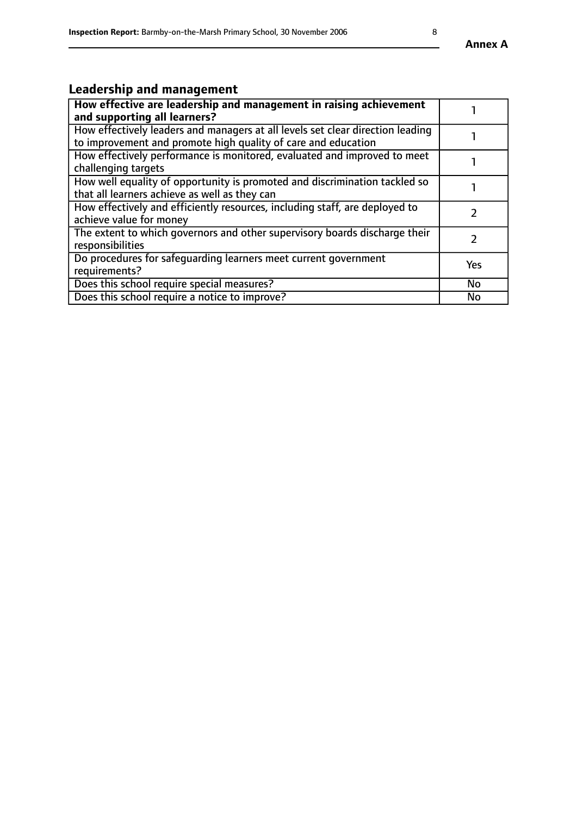# **Leadership and management**

| How effective are leadership and management in raising achievement<br>and supporting all learners?                                              |               |
|-------------------------------------------------------------------------------------------------------------------------------------------------|---------------|
| How effectively leaders and managers at all levels set clear direction leading<br>to improvement and promote high quality of care and education |               |
| How effectively performance is monitored, evaluated and improved to meet<br>challenging targets                                                 |               |
| How well equality of opportunity is promoted and discrimination tackled so<br>that all learners achieve as well as they can                     |               |
| How effectively and efficiently resources, including staff, are deployed to<br>achieve value for money                                          | $\mathcal{P}$ |
| The extent to which governors and other supervisory boards discharge their<br>responsibilities                                                  |               |
| Do procedures for safequarding learners meet current government<br>requirements?                                                                | Yes           |
| Does this school require special measures?                                                                                                      | No            |
| Does this school require a notice to improve?                                                                                                   | <b>No</b>     |